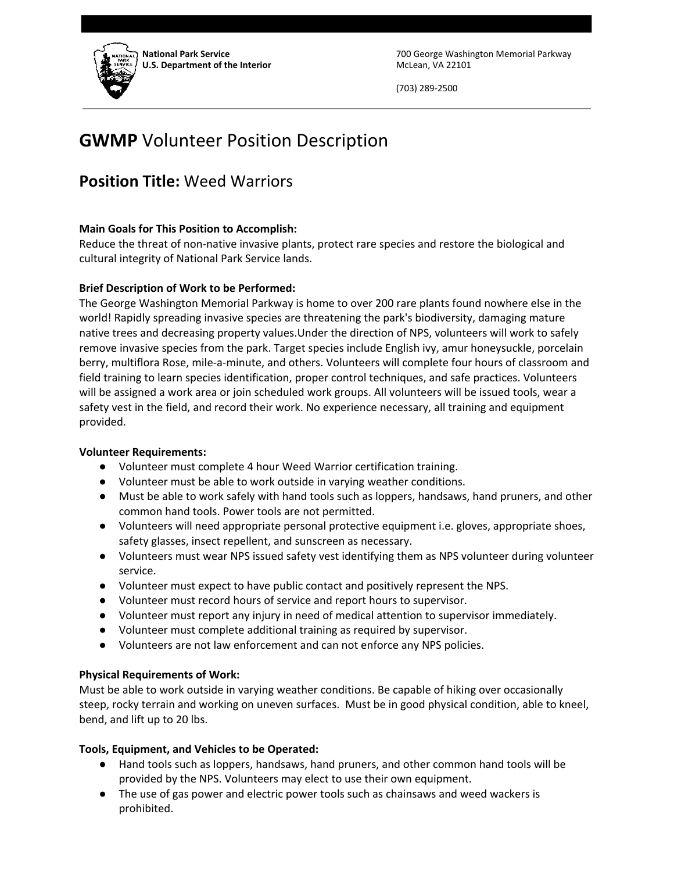

 **National Park Service** 700 George Washington Memorial Parkway

(703) 289-2500

# **GWMP** Volunteer Position Description

# **Position Title:** Weed Warriors

# **Main Goals for This Position to Accomplish:**

Reduce the threat of non-native invasive plants, protect rare species and restore the biological and cultural integrity of National Park Service lands.

# **Brief Description of Work to be Performed:**

The George Washington Memorial Parkway is home to over 200 rare plants found nowhere else in the world! Rapidly spreading invasive species are threatening the park's biodiversity, damaging mature native trees and decreasing property values.Under the direction of NPS, volunteers will work to safely remove invasive species from the park. Target species include English ivy, amur honeysuckle, porcelain berry, multiflora Rose, mile-a-minute, and others. Volunteers will complete four hours of classroom and field training to learn species identification, proper control techniques, and safe practices. Volunteers will be assigned a work area or join scheduled work groups. All volunteers will be issued tools, wear a safety vest in the field, and record their work. No experience necessary, all training and equipment provided.

#### **Volunteer Requirements:**

- Volunteer must complete 4 hour Weed Warrior certification training.
- Volunteer must be able to work outside in varying weather conditions.
- Must be able to work safely with hand tools such as loppers, handsaws, hand pruners, and other common hand tools. Power tools are not permitted.
- Volunteers will need appropriate personal protective equipment i.e. gloves, appropriate shoes, safety glasses, insect repellent, and sunscreen as necessary.
- Volunteers must wear NPS issued safety vest identifying them as NPS volunteer during volunteer service.
- Volunteer must expect to have public contact and positively represent the NPS.
- Volunteer must record hours of service and report hours to supervisor.
- Volunteer must report any injury in need of medical attention to supervisor immediately.
- Volunteer must complete additional training as required by supervisor.
- Volunteers are not law enforcement and can not enforce any NPS policies.

#### **Physical Requirements of Work:**

Must be able to work outside in varying weather conditions. Be capable of hiking over occasionally steep, rocky terrain and working on uneven surfaces. Must be in good physical condition, able to kneel, bend, and lift up to 20 lbs.

#### **Tools, Equipment, and Vehicles to be Operated:**

- Hand tools such as loppers, handsaws, hand pruners, and other common hand tools will be provided by the NPS. Volunteers may elect to use their own equipment.
- The use of gas power and electric power tools such as chainsaws and weed wackers is prohibited.